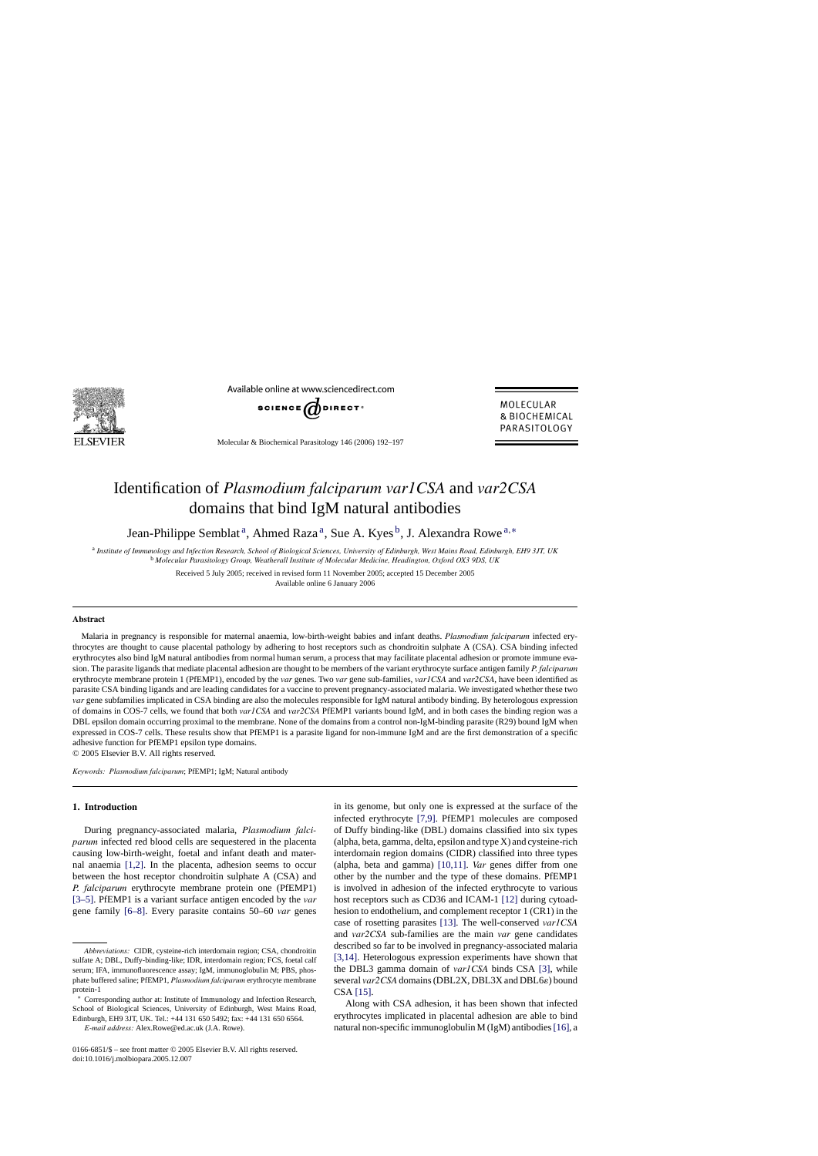

Available online at www.sciencedirect.com



Molecular & Biochemical Parasitology 146 (2006) 192–197

MOI FCUI AR & BIOCHEMICAL PARASITOLOGY

# Identification of *Plasmodium falciparum var1CSA* and *var2CSA* domains that bind IgM natural antibodies

Jean-Philippe Semblat<sup>a</sup>, Ahmed Raza<sup>a</sup>, Sue A. Kyes<sup>b</sup>, J. Alexandra Rowe<sup>a,∗</sup>

<sup>a</sup> *Institute of Immunology and Infection Research, School of Biological Sciences, University of Edinburgh, West Mains Road, Edinburgh, EH9 3JT, UK* <sup>b</sup> *Molecular Parasitology Group, Weatherall Institute of Molecular Medicine, Headington, Oxford OX3 9DS, UK*

> Received 5 July 2005; received in revised form 11 November 2005; accepted 15 December 2005 Available online 6 January 2006

### **Abstract**

Malaria in pregnancy is responsible for maternal anaemia, low-birth-weight babies and infant deaths. *Plasmodium falciparum* infected erythrocytes are thought to cause placental pathology by adhering to host receptors such as chondroitin sulphate A (CSA). CSA binding infected erythrocytes also bind IgM natural antibodies from normal human serum, a process that may facilitate placental adhesion or promote immune evasion. The parasite ligands that mediate placental adhesion are thought to be members of the variant erythrocyte surface antigen family *P. falciparum* erythrocyte membrane protein 1 (PfEMP1), encoded by the *var* genes. Two *var* gene sub-families, *var1CSA* and *var2CSA*, have been identified as parasite CSA binding ligands and are leading candidates for a vaccine to prevent pregnancy-associated malaria. We investigated whether these two *var* gene subfamilies implicated in CSA binding are also the molecules responsible for IgM natural antibody binding. By heterologous expression of domains in COS-7 cells, we found that both *var1CSA* and *var2CSA* PfEMP1 variants bound IgM, and in both cases the binding region was a DBL epsilon domain occurring proximal to the membrane. None of the domains from a control non-IgM-binding parasite (R29) bound IgM when expressed in COS-7 cells. These results show that PfEMP1 is a parasite ligand for non-immune IgM and are the first demonstration of a specific adhesive function for PfEMP1 epsilon type domains.

© 2005 Elsevier B.V. All rights reserved.

*Keywords: Plasmodium falciparum*; PfEMP1; IgM; Natural antibody

### **1. Introduction**

During pregnancy-associated malaria, *Plasmodium falciparum* infected red blood cells are sequestered in the placenta causing low-birth-weight, foetal and infant death and maternal anaemia [\[1,2\].](#page-5-0) In the placenta, adhesion seems to occur between the host receptor chondroitin sulphate A (CSA) and *P. falciparum* erythrocyte membrane protein one (PfEMP1) [\[3–5\].](#page-5-0) PfEMP1 is a variant surface antigen encoded by the *var* gene family [\[6–8\].](#page-5-0) Every parasite contains 50–60 *var* genes

in its genome, but only one is expressed at the surface of the infected erythrocyte [\[7,9\].](#page-5-0) PfEMP1 molecules are composed of Duffy binding-like (DBL) domains classified into six types (alpha, beta, gamma, delta, epsilon and type X) and cysteine-rich interdomain region domains (CIDR) classified into three types (alpha, beta and gamma) [\[10,11\].](#page-5-0) *Var* genes differ from one other by the number and the type of these domains. PfEMP1 is involved in adhesion of the infected erythrocyte to various host receptors such as CD36 and ICAM-1 [\[12\]](#page-5-0) during cytoadhesion to endothelium, and complement receptor 1 (CR1) in the case of rosetting parasites [\[13\].](#page-5-0) The well-conserved *var1CSA* and *var2CSA* sub-families are the main *var* gene candidates described so far to be involved in pregnancy-associated malaria [\[3,14\].](#page-5-0) Heterologous expression experiments have shown that the DBL3 gamma domain of *var1CSA* binds CSA [\[3\],](#page-5-0) while several *var2CSA* domains (DBL2X, DBL3X and DBL6 $\varepsilon$ ) bound CSA [\[15\].](#page-5-0)

Along with CSA adhesion, it has been shown that infected erythrocytes implicated in placental adhesion are able to bind natural non-specific immunoglobulin M (IgM) antibodies[\[16\], a](#page-5-0)

*Abbreviations:* CIDR, cysteine-rich interdomain region; CSA, chondroitin sulfate A; DBL, Duffy-binding-like; IDR, interdomain region; FCS, foetal calf serum; IFA, immunofluorescence assay; IgM, immunoglobulin M; PBS, phosphate buffered saline; PfEMP1, *Plasmodium falciparum* erythrocyte membrane protein-1

<sup>∗</sup> Corresponding author at: Institute of Immunology and Infection Research, School of Biological Sciences, University of Edinburgh, West Mains Road, Edinburgh, EH9 3JT, UK. Tel.: +44 131 650 5492; fax: +44 131 650 6564.

*E-mail address:* Alex.Rowe@ed.ac.uk (J.A. Rowe).

<sup>0166-6851/\$ –</sup> see front matter © 2005 Elsevier B.V. All rights reserved. doi:10.1016/j.molbiopara.2005.12.007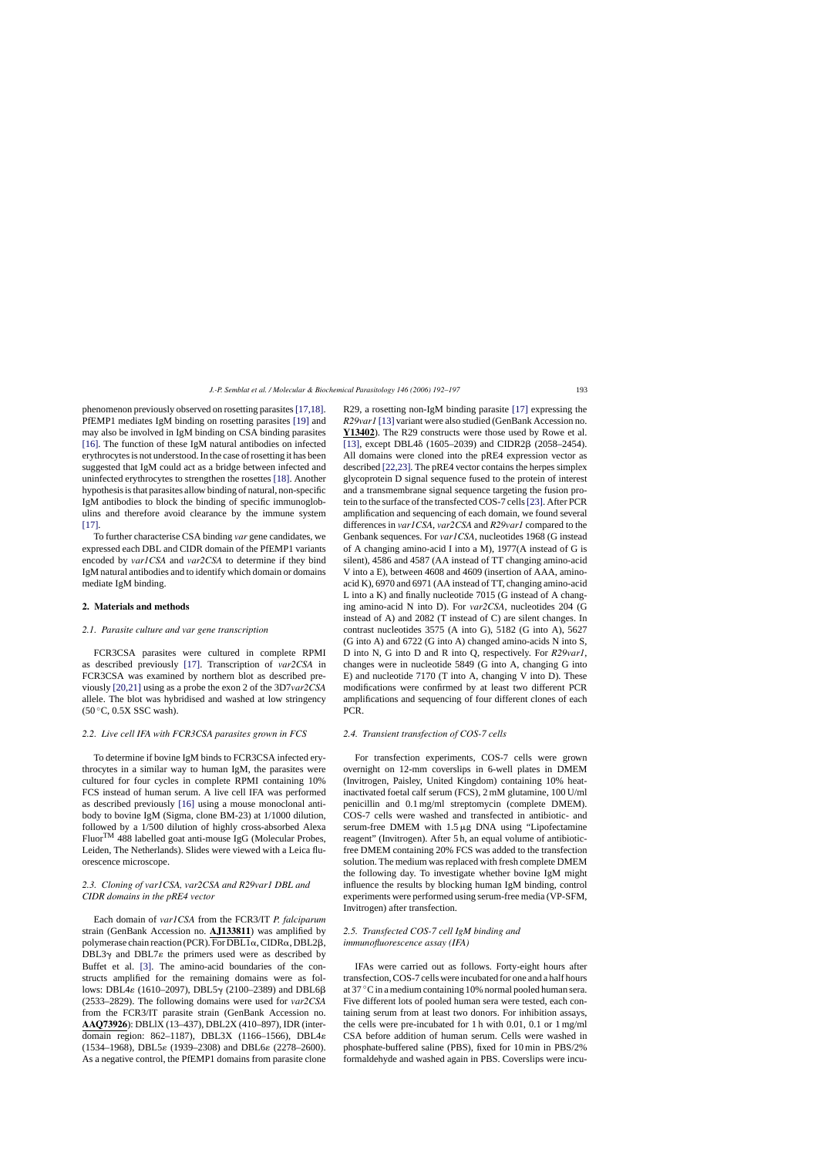phenomenon previously observed on rosetting parasites[\[17,18\].](#page-5-0) PfEMP1 mediates IgM binding on rosetting parasites [\[19\]](#page-5-0) and may also be involved in IgM binding on CSA binding parasites [\[16\].](#page-5-0) The function of these IgM natural antibodies on infected erythrocytes is not understood. In the case of rosetting it has been suggested that IgM could act as a bridge between infected and uninfected erythrocytes to strengthen the rosettes [\[18\].](#page-5-0) Another hypothesis is that parasites allow binding of natural, non-specific IgM antibodies to block the binding of specific immunoglobulins and therefore avoid clearance by the immune system [\[17\].](#page-5-0)

To further characterise CSA binding *var* gene candidates, we expressed each DBL and CIDR domain of the PfEMP1 variants encoded by *var1CSA* and *var2CSA* to determine if they bind IgM natural antibodies and to identify which domain or domains mediate IgM binding.

#### **2. Materials and methods**

### *2.1. Parasite culture and var gene transcription*

FCR3CSA parasites were cultured in complete RPMI as described previously [\[17\].](#page-5-0) Transcription of *var2CSA* in FCR3CSA was examined by northern blot as described previously [\[20,21\]](#page-5-0) using as a probe the exon 2 of the 3D7*var2CSA* allele. The blot was hybridised and washed at low stringency  $(50 °C, 0.5X SSC wash)$ .

#### *2.2. Live cell IFA with FCR3CSA parasites grown in FCS*

To determine if bovine IgM binds to FCR3CSA infected erythrocytes in a similar way to human IgM, the parasites were cultured for four cycles in complete RPMI containing 10% FCS instead of human serum. A live cell IFA was performed as described previously [\[16\]](#page-5-0) using a mouse monoclonal antibody to bovine IgM (Sigma, clone BM-23) at 1/1000 dilution, followed by a 1/500 dilution of highly cross-absorbed Alexa FluorTM 488 labelled goat anti-mouse IgG (Molecular Probes, Leiden, The Netherlands). Slides were viewed with a Leica fluorescence microscope.

## *2.3. Cloning of var1CSA, var2CSA and R29var1 DBL and CIDR domains in the pRE4 vector*

Each domain of *var1CSA* from the FCR3/IT *P. falciparum* strain (GenBank Accession no. **AJ133811**) was amplified by polymerase chain reaction (PCR). For DBL1 $\alpha$ , CIDR $\alpha$ , DBL2 $\beta$ , DBL3 $\gamma$  and DBL7 $\varepsilon$  the primers used were as described by Buffet et al. [\[3\].](#page-5-0) The amino-acid boundaries of the constructs amplified for the remaining domains were as follows: DBL4 $\varepsilon$  (1610–2097), DBL5 $\gamma$  (2100–2389) and DBL6 $\beta$ (2533–2829). The following domains were used for *var2CSA* from the FCR3/IT parasite strain (GenBank Accession no. **AAQ73926**): DBLlX (13–437), DBL2X (410–897), IDR (interdomain region: 862–1187), DBL3X (1166–1566), DBL4  $(1534–1968)$ , DBL5 $\varepsilon$  (1939–2308) and DBL6 $\varepsilon$  (2278–2600). As a negative control, the PfEMP1 domains from parasite clone R29, a rosetting non-IgM binding parasite [\[17\]](#page-5-0) expressing the *R29var1* [\[13\]](#page-5-0) variant were also studied (GenBank Accession no. **Y13402**). The R29 constructs were those used by Rowe et al. [\[13\],](#page-5-0) except DBL4 $\delta$  (1605–2039) and CIDR2 $\beta$  (2058–2454). All domains were cloned into the pRE4 expression vector as described [\[22,23\]. T](#page-5-0)he pRE4 vector contains the herpes simplex glycoprotein D signal sequence fused to the protein of interest and a transmembrane signal sequence targeting the fusion protein to the surface of the transfected COS-7 cells[\[23\]. A](#page-5-0)fter PCR amplification and sequencing of each domain, we found several differences in *var1CSA*, *var2CSA* and *R29var1* compared to the Genbank sequences. For *var1CSA*, nucleotides 1968 (G instead of A changing amino-acid I into a M), 1977(A instead of G is silent), 4586 and 4587 (AA instead of TT changing amino-acid V into a E), between 4608 and 4609 (insertion of AAA, aminoacid K), 6970 and 6971 (AA instead of TT, changing amino-acid L into a K) and finally nucleotide 7015 (G instead of A changing amino-acid N into D). For *var2CSA*, nucleotides 204 (G instead of A) and 2082 (T instead of C) are silent changes. In contrast nucleotides 3575 (A into G), 5182 (G into A), 5627 (G into A) and 6722 (G into A) changed amino-acids N into S, D into N, G into D and R into Q, respectively. For *R29var1*, changes were in nucleotide 5849 (G into A, changing G into E) and nucleotide 7170 (T into A, changing V into D). These modifications were confirmed by at least two different PCR amplifications and sequencing of four different clones of each PCR.

#### *2.4. Transient transfection of COS-7 cells*

For transfection experiments, COS-7 cells were grown overnight on 12-mm coverslips in 6-well plates in DMEM (Invitrogen, Paisley, United Kingdom) containing 10% heatinactivated foetal calf serum (FCS), 2 mM glutamine, 100 U/ml penicillin and 0.1 mg/ml streptomycin (complete DMEM). COS-7 cells were washed and transfected in antibiotic- and serum-free DMEM with  $1.5 \mu$ g DNA using "Lipofectamine reagent" (Invitrogen). After 5 h, an equal volume of antibioticfree DMEM containing 20% FCS was added to the transfection solution. The medium was replaced with fresh complete DMEM the following day. To investigate whether bovine IgM might influence the results by blocking human IgM binding, control experiments were performed using serum-free media (VP-SFM, Invitrogen) after transfection.

## *2.5. Transfected COS-7 cell IgM binding and immunofluorescence assay (IFA)*

IFAs were carried out as follows. Forty-eight hours after transfection, COS-7 cells were incubated for one and a half hours at 37 ◦C in a medium containing 10% normal pooled human sera. Five different lots of pooled human sera were tested, each containing serum from at least two donors. For inhibition assays, the cells were pre-incubated for 1 h with 0.01, 0.1 or 1 mg/ml CSA before addition of human serum. Cells were washed in phosphate-buffered saline (PBS), fixed for 10 min in PBS/2% formaldehyde and washed again in PBS. Coverslips were incu-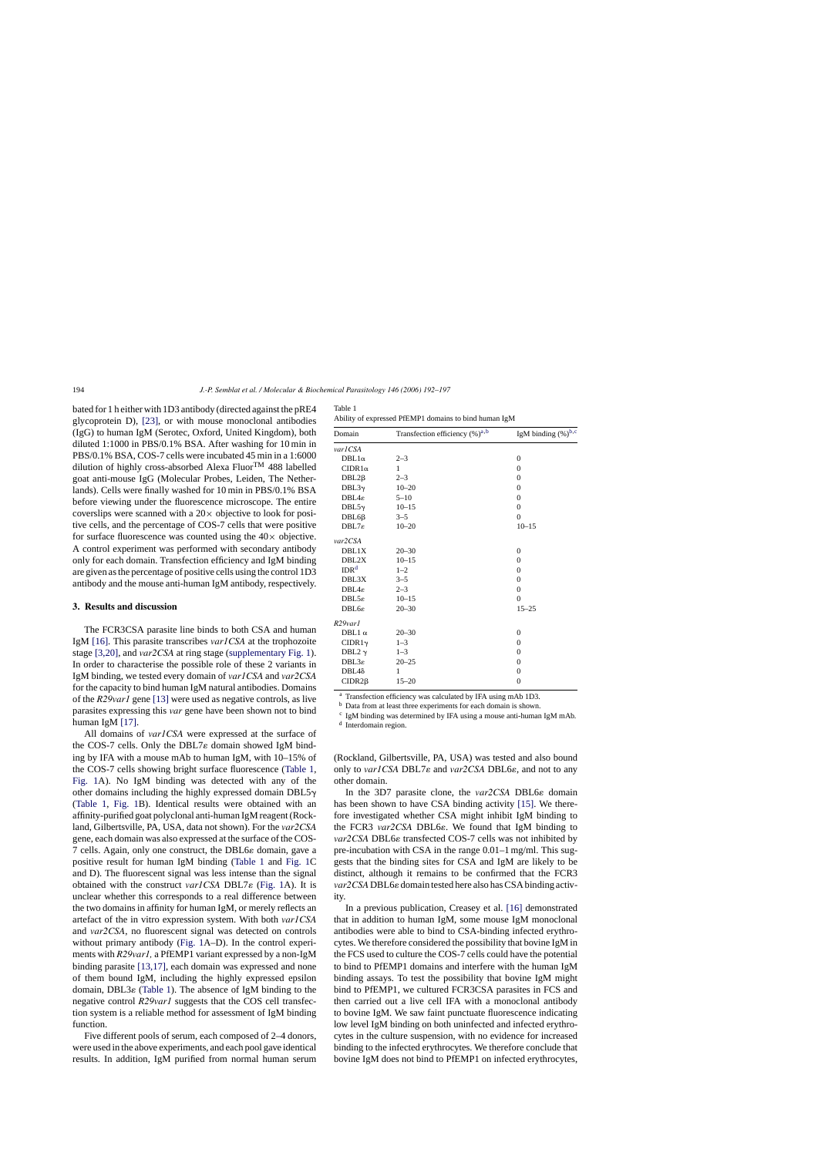bated for 1 h either with 1D3 antibody (directed against the pRE4 glycoprotein D), [\[23\],](#page-5-0) or with mouse monoclonal antibodies (IgG) to human IgM (Serotec, Oxford, United Kingdom), both diluted 1:1000 in PBS/0.1% BSA. After washing for 10 min in PBS/0.1% BSA, COS-7 cells were incubated 45 min in a 1:6000 dilution of highly cross-absorbed Alexa FluorTM 488 labelled goat anti-mouse IgG (Molecular Probes, Leiden, The Netherlands). Cells were finally washed for 10 min in PBS/0.1% BSA before viewing under the fluorescence microscope. The entire coverslips were scanned with a  $20 \times$  objective to look for positive cells, and the percentage of COS-7 cells that were positive for surface fluorescence was counted using the  $40\times$  objective. A control experiment was performed with secondary antibody only for each domain. Transfection efficiency and IgM binding are given as the percentage of positive cells using the control 1D3 antibody and the mouse anti-human IgM antibody, respectively.

#### **3. Results and discussion**

The FCR3CSA parasite line binds to both CSA and human IgM [\[16\].](#page-5-0) This parasite transcribes *var1CSA* at the trophozoite stage [\[3,20\], a](#page-5-0)nd *var2CSA* at ring stage ([supplementary Fig. 1\).](#page-5-0) In order to characterise the possible role of these 2 variants in IgM binding, we tested every domain of *var1CSA* and *var2CSA* for the capacity to bind human IgM natural antibodies. Domains of the *R29var1* gene [\[13\]](#page-5-0) were used as negative controls, as live parasites expressing this *var* gene have been shown not to bind human IgM [\[17\].](#page-5-0)

All domains of *var1CSA* were expressed at the surface of the COS-7 cells. Only the DBL7 $\varepsilon$  domain showed IgM binding by IFA with a mouse mAb to human IgM, with 10–15% of the COS-7 cells showing bright surface fluorescence (Table 1, [Fig. 1A](#page-3-0)). No IgM binding was detected with any of the other domains including the highly expressed domain DBL5 $\gamma$ (Table 1, [Fig. 1B](#page-3-0)). Identical results were obtained with an affinity-purified goat polyclonal anti-human IgM reagent (Rockland, Gilbertsville, PA, USA, data not shown). For the *var2CSA* gene, each domain was also expressed at the surface of the COS- $7$  cells. Again, only one construct, the DBL6 $\varepsilon$  domain, gave a positive result for human IgM binding (Table 1 and [Fig. 1C](#page-3-0) and D). The fluorescent signal was less intense than the signal obtained with the construct *var1CSA* DBL7ε ([Fig. 1A](#page-3-0)). It is unclear whether this corresponds to a real difference between the two domains in affinity for human IgM, or merely reflects an artefact of the in vitro expression system. With both *var1CSA* and *var2CSA*, no fluorescent signal was detected on controls without primary antibody ([Fig. 1A](#page-3-0)–D). In the control experiments with *R29var1,* a PfEMP1 variant expressed by a non-IgM binding parasite [\[13,17\], e](#page-5-0)ach domain was expressed and none of them bound IgM, including the highly expressed epsilon domain, DBL3 $\varepsilon$  (Table 1). The absence of IgM binding to the negative control *R29var1* suggests that the COS cell transfection system is a reliable method for assessment of IgM binding function.

Five different pools of serum, each composed of 2–4 donors, were used in the above experiments, and each pool gave identical results. In addition, IgM purified from normal human serum

| Table 1                                               |  |
|-------------------------------------------------------|--|
| Ability of expressed PfEMP1 domains to bind human IgM |  |

| Domain             | Transfection efficiency $(\% )^{a,b}$ | IgM binding $(\%)^{b,c}$ |
|--------------------|---------------------------------------|--------------------------|
| var1CSA            |                                       |                          |
| $DBL1\alpha$       | $2 - 3$                               | $\overline{0}$           |
| $CIDR1\alpha$      | 1                                     | $\mathbf{0}$             |
| $DBL2\beta$        | $2 - 3$                               | $\overline{0}$           |
| $DBL3\gamma$       | $10 - 20$                             | $\mathbf{0}$             |
| $DBL4\varepsilon$  | $5 - 10$                              | $\theta$                 |
| DBL5 $\gamma$      | $10 - 15$                             | $\theta$                 |
| $DBL6\beta$        | $3 - 5$                               | $\theta$                 |
| $DBL7\varepsilon$  | $10 - 20$                             | $10 - 15$                |
| var2CSA            |                                       |                          |
| DBL1X              | $20 - 30$                             | $\overline{0}$           |
| DBL2X              | $10 - 15$                             | $\mathbf{0}$             |
| IDR <sup>d</sup>   | $1 - 2$                               | $\Omega$                 |
| DBL3X              | $3 - 5$                               | $\mathbf{0}$             |
| $DBL4\varepsilon$  | $2 - 3$                               | $\overline{0}$           |
| $DBL5\varepsilon$  | $10 - 15$                             | $\Omega$                 |
| <b>DBL6g</b>       | $20 - 30$                             | $15 - 25$                |
| $R29$ var $I$      |                                       |                          |
| DBL1 $\alpha$      | $20 - 30$                             | $\Omega$                 |
| CIDR1 <sub>Y</sub> | $1 - 3$                               | $\overline{0}$           |
| DBL2 $\gamma$      | $1 - 3$                               | $\mathbf{0}$             |
| $DBL3\varepsilon$  | $20 - 25$                             | $\Omega$                 |
| $DBL4\delta$       | 1                                     | $\overline{0}$           |
| $CIDR2\beta$       | $15 - 20$                             | $\mathbf{0}$             |
|                    |                                       |                          |

<sup>a</sup> Transfection efficiency was calculated by IFA using mAb 1D3.

<sup>b</sup> Data from at least three experiments for each domain is shown.

 $c$  IgM binding was determined by IFA using a mouse anti-human IgM mAb.

<sup>d</sup> Interdomain region.

(Rockland, Gilbertsville, PA, USA) was tested and also bound only to *var1CSA* DBL7ε and *var2CSA* DBL6ε, and not to any other domain.

In the 3D7 parasite clone, the *var2CSA* DBL6 $\varepsilon$  domain has been shown to have CSA binding activity [\[15\].](#page-5-0) We therefore investigated whether CSA might inhibit IgM binding to the FCR3 *var2CSA* DBL6 $\varepsilon$ . We found that IgM binding to var2CSA DBL6 $\varepsilon$  transfected COS-7 cells was not inhibited by pre-incubation with CSA in the range 0.01–1 mg/ml. This suggests that the binding sites for CSA and IgM are likely to be distinct, although it remains to be confirmed that the FCR3 *var2CSA* DBL6 $\varepsilon$  domain tested here also has CSA binding activity.

In a previous publication, Creasey et al. [\[16\]](#page-5-0) demonstrated that in addition to human IgM, some mouse IgM monoclonal antibodies were able to bind to CSA-binding infected erythrocytes. We therefore considered the possibility that bovine IgM in the FCS used to culture the COS-7 cells could have the potential to bind to PfEMP1 domains and interfere with the human IgM binding assays. To test the possibility that bovine IgM might bind to PfEMP1, we cultured FCR3CSA parasites in FCS and then carried out a live cell IFA with a monoclonal antibody to bovine IgM. We saw faint punctuate fluorescence indicating low level IgM binding on both uninfected and infected erythrocytes in the culture suspension, with no evidence for increased binding to the infected erythrocytes. We therefore conclude that bovine IgM does not bind to PfEMP1 on infected erythrocytes,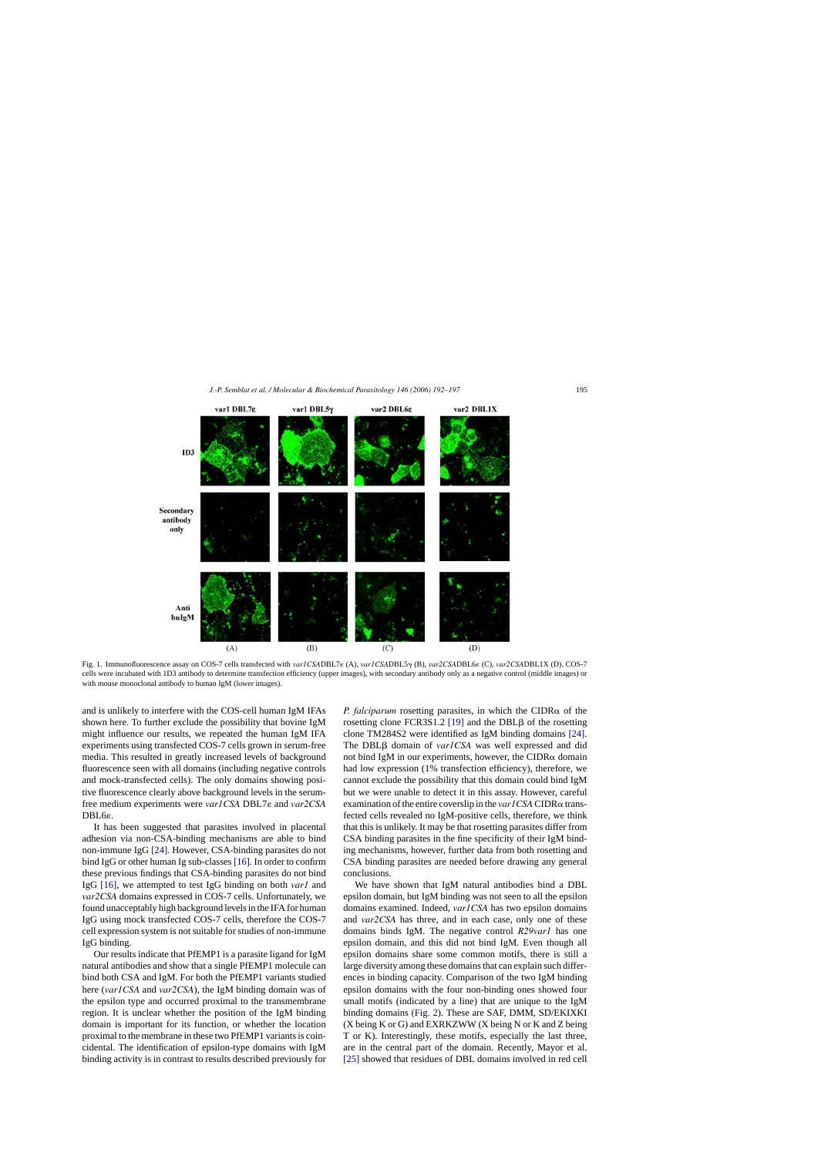<span id="page-3-0"></span>

Fig. 1. Immunofluorescence assay on COS-7 cells transfected with *var1CSADBL7* & (A), *var1CSADBL5* (B), *var2CSADBL6* (C), *var2CSADBL1X* (D). COS-7 cells were incubated with 1D3 antibody to determine transfection efficiency (upper images), with secondary antibody only as a negative control (middle images) or with mouse monoclonal antibody to human IgM (lower images).

and is unlikely to interfere with the COS-cell human IgM IFAs shown here. To further exclude the possibility that bovine IgM might influence our results, we repeated the human IgM IFA experiments using transfected COS-7 cells grown in serum-free media. This resulted in greatly increased levels of background fluorescence seen with all domains (including negative controls and mock-transfected cells). The only domains showing positive fluorescence clearly above background levels in the serumfree medium experiments were *var1CSA* DBL7 $\varepsilon$  and *var2CSA* DBL6<sub>ε</sub>

It has been suggested that parasites involved in placental adhesion via non-CSA-binding mechanisms are able to bind non-immune IgG [\[24\].](#page-5-0) However, CSA-binding parasites do not bind IgG or other human Ig sub-classes [\[16\]. I](#page-5-0)n order to confirm these previous findings that CSA-binding parasites do not bind IgG [\[16\],](#page-5-0) we attempted to test IgG binding on both *var1* and *var2CSA* domains expressed in COS-7 cells. Unfortunately, we found unacceptably high background levels in the IFA for human IgG using mock transfected COS-7 cells, therefore the COS-7 cell expression system is not suitable for studies of non-immune IgG binding.

Our results indicate that PfEMP1 is a parasite ligand for IgM natural antibodies and show that a single PfEMP1 molecule can bind both CSA and IgM. For both the PfEMP1 variants studied here (*var1CSA* and *var2CSA*), the IgM binding domain was of the epsilon type and occurred proximal to the transmembrane region. It is unclear whether the position of the IgM binding domain is important for its function, or whether the location proximal to the membrane in these two PfEMP1 variants is coincidental. The identification of epsilon-type domains with IgM binding activity is in contrast to results described previously for

*P. falciparum* rosetting parasites, in which the CIDR $\alpha$  of the rosetting clone FCR3S1.2 [\[19\]](#page-5-0) and the DBL $\beta$  of the rosetting clone TM284S2 were identified as IgM binding domains [\[24\].](#page-5-0) The DBL $\beta$  domain of *var1CSA* was well expressed and did not bind IgM in our experiments, however, the CIDR $\alpha$  domain had low expression (1% transfection efficiency), therefore, we cannot exclude the possibility that this domain could bind IgM but we were unable to detect it in this assay. However, careful examination of the entire coverslip in the  $varICSA$  CIDR $\alpha$  transfected cells revealed no IgM-positive cells, therefore, we think that this is unlikely. It may be that rosetting parasites differ from CSA binding parasites in the fine specificity of their IgM binding mechanisms, however, further data from both rosetting and CSA binding parasites are needed before drawing any general conclusions.

We have shown that IgM natural antibodies bind a DBL epsilon domain, but IgM binding was not seen to all the epsilon domains examined. Indeed, *var1CSA* has two epsilon domains and *var2CSA* has three, and in each case, only one of these domains binds IgM. The negative control *R29var1* has one epsilon domain, and this did not bind IgM. Even though all epsilon domains share some common motifs, there is still a large diversity among these domains that can explain such differences in binding capacity. Comparison of the two IgM binding epsilon domains with the four non-binding ones showed four small motifs (indicated by a line) that are unique to the IgM binding domains [\(Fig. 2\).](#page-4-0) These are SAF, DMM, SD/EKIXKI (X being K or G) and EXRKZWW (X being N or K and Z being T or K). Interestingly, these motifs, especially the last three, are in the central part of the domain. Recently, Mayor et al. [\[25\]](#page-5-0) showed that residues of DBL domains involved in red cell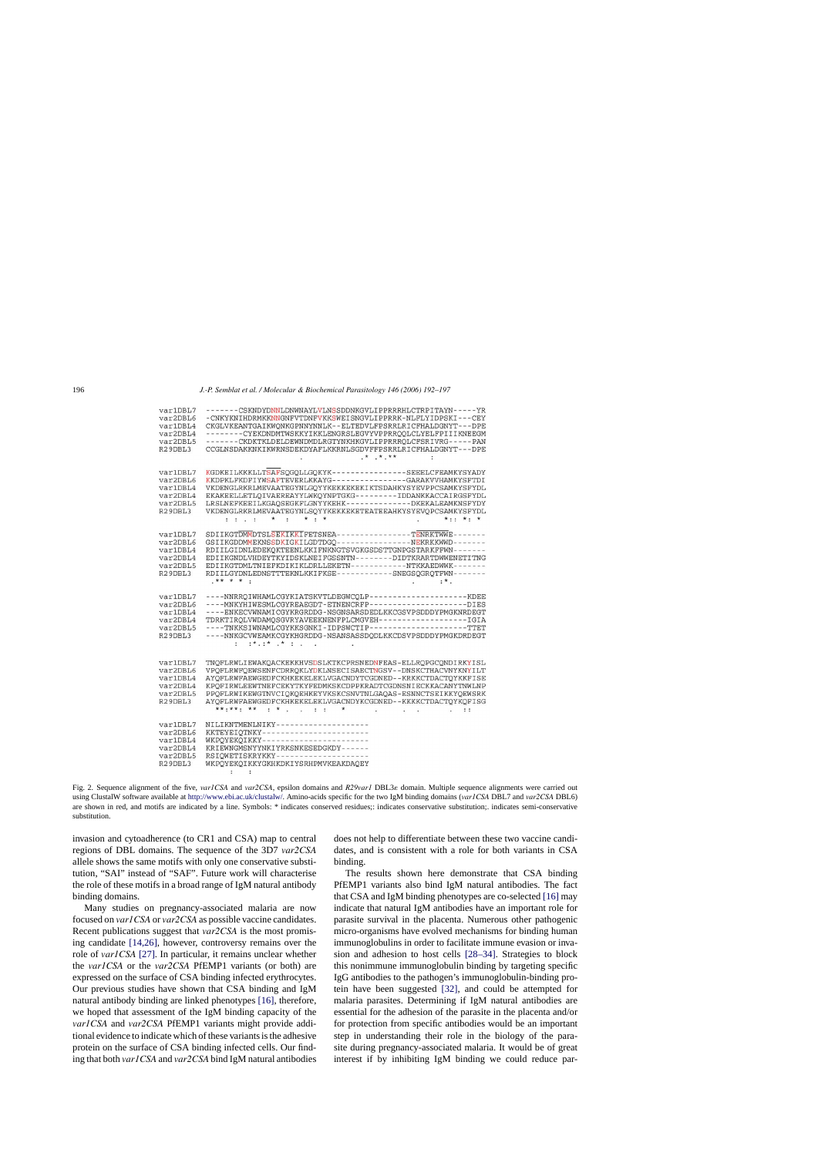<span id="page-4-0"></span>

| var1DBL7<br>var2DBL6<br>var1DBL4<br>var2DBL4<br>var2DBL5<br>R29DBL3                          | -------CSKNDYDNNLDNWNAYLVLNSSDDNKGVLIPPRRRHLCTRPITAYN-----YR<br>-CNKYKNIHDRMKKNNGNFVTDNFVKKSWEISNGVLIPPRRK-NLFLYIDPSKI---CEY<br>CKGLVKEANTGAIKWONKGPNNYNNLK--ELTEDVLFPSRRLRICFHALDGNYT---DPE<br>-------CYEKDNDMTWSKKYIKKLENGRSLEGVYVPPRROOLCLYELFPIIIKNEEGM<br>-------CKDKTKLDELDEWNDMDLRGTYNKHKGVLIPPRRROLCFSRIVRG-----PAN<br>CCGLNSDAKKNKIKWRNSDEKDYAFLKKRNLSGDVFFPSRRLRICFHALDGNYT---DPE<br>$.*$ $.*$ $.*$<br>÷                                                                                                                   |
|----------------------------------------------------------------------------------------------|--------------------------------------------------------------------------------------------------------------------------------------------------------------------------------------------------------------------------------------------------------------------------------------------------------------------------------------------------------------------------------------------------------------------------------------------------------------------------------------------------------------------------------------|
| var1DBL7<br>var2DBL6<br>var1DBL4<br>var2DBL4<br>var2DBL5<br>R <sub>29</sub> DBL <sub>3</sub> | KGDKEILKKKLLTSAFSQGQLLGQKYK----------------SEEELCFEAMKYSYADY<br>KKDPKLFKDFIYWSAFTEVERLKKAYG--------------GARAKVVHAMKYSFTDI<br>VKDENGLRKRLMEVAATEGYNLGOYYKEKKEKEKIKTSDAHKYSYEVPPCSAMKYSFYDL<br>EKAKEELLETLQIVAEREAYYLWKQYNPTGKG---------IDDANKKACCAIRGSFYDL<br>LRSLNEFKEEILKGAOSEGKFLGNYYKEHK-------------DKEKALEAMKNSFYDY<br>VKDENGLRKRLMEVAATEGYNLSOYYKEKKEKETEATEEAHKYSYEVOPCSAMKYSFYDL<br>$: \cdot : \cdot * : \cdot * : \cdot *$<br>$*$ * . *<br>$\sim$ 100 $\sim$                                                               |
| var1DBL7<br>var2DBL6<br>var1DBL4<br>var2DBL4<br>var2DBL5<br>R <sub>29</sub> DBL <sub>3</sub> | SDIIKGTDMMDTSLSEKIKKIFETSNEA----------------TENRKTWWE-------<br>GSIIKGDDMMEKNSSDKIGKILGDTDGO------------------REKRKKWWD-------<br>RDIILGIDNLEDEKQKTEENLKKIFNKNGTSVGKGSDSTTGNPGSTARKFFWN-------<br>EDIIKGNDLVHDEYTKYIDSKLNEIFGSSNTN--------DIDTKRARTDWWENETITNG<br>EDIIKGTDMLTNIEFKDIKIKLDRLLEKETN-----------NTKKAEDWWK-------<br>RDIILGYDNLEDNSTTTEKNLKKIFKSE------------SNEGSQGRQTFWN-------<br>$***$ * * * :<br>$: *$ .                                                                                                            |
| var1DBL7<br>var2DBL6<br>var1DBL4<br>var2DBL4<br>var2DBL5<br>R29DBL3                          | ----NNRRQIWHAMLCGYKIATSKVTLDEGWCQLP--------------------KDEE<br>----MNKYHIWESMLCGYREAEGDT-ETNENCRFP--------------------DIES<br>----ENKECVWNAMICGYKRGRDDG-NSGNSARSDEDLKKCGSVPSDDDYPMGKNRDEGT<br>TDRKTIROLVWDAMOSGVRYAVEEKNENFPLCMGVEH-------------------IGIA<br>----TNKKSIWNAMLCGYKKSGNKI-IDPSWCTIP---------------------TTET<br>----NNKGCVWEAMKCGYKHGRDDG-NSANSASSDQDLKKCDSVPSDDDYPMGKDRDEGT<br>$:*,*:*,*,*,*,$                                                                                                                        |
| var1DBL7<br>var2DBL6<br>var1DBL4<br>var2DBL4<br>var2DBL5<br>R29DBL3                          | TNOFLRWLIEWAKOACKEKKHVSDSLKTKCPRSNEDNFEAS-ELLROPGCONDIRKYISL<br>VPOFLRWFOEWSENFCDRROKLYDKLNSECISAECTNGSV--DNSKCTHACVNYKNYILT<br>AYOFLRWFAEWGEDFCKHKEKELEKLVGACNDYTCGDNED--KRKKCTDACTOYKKFISE<br>KPOFIRWLEEWTNEFCEKYTKYFEDMKSKCDPPKRADTCGDNSNIECKKACANYTNWLNP<br>PPOFLRWIKEWGTNVCIOKOEHKEYVKSKCSNVTNLGAOAS-ESNNCTSEIKKYOEWSRK<br>AYOFLRWFAEWGEDFCKHKEKELEKLVGACNDYKCGDNED--KKKKCTDACTOYKOFISG<br>**:**: ** : * : *<br>the contract of the contract of the contract of the contract of the contract of the contract of the contract of |
| var1DBL7<br>var2DBL6<br>var1DBL4<br>var2DBL4<br>var2DBL5<br>R29DBL3                          | NILIKNTMENLNIKY--------------------<br>KKTEYEIQTNKY----------------------<br>WKPQYEKQIKKY----------------------<br>KRIEWNGMSNYYNKIYRKSNKESEDGKDY------<br>RSIQWETISKRYKKY--------------------<br>WKPOYEKOIKKYGKHKDKIYSRHPMVKEAKDAQEY                                                                                                                                                                                                                                                                                                 |

Fig. 2. Sequence alignment of the five, *var1CSA* and *var2CSA*, epsilon domains and *R29var1* DBL3 domain. Multiple sequence alignments were carried out using ClustalW software available at <http://www.ebi.ac.uk/clustalw/>. Amino-acids specific for the two IgM binding domains (*var1CSA* DBL7 and *var2CSA* DBL6) are shown in red, and motifs are indicated by a line. Symbols: \* indicates conserved residues;: indicates conservative substitution;. indicates semi-conservative substitution.

invasion and cytoadherence (to CR1 and CSA) map to central regions of DBL domains. The sequence of the 3D7 *var2CSA* allele shows the same motifs with only one conservative substitution, "SAI" instead of "SAF". Future work will characterise the role of these motifs in a broad range of IgM natural antibody binding domains.

Many studies on pregnancy-associated malaria are now focused on *var1CSA* or *var2CSA* as possible vaccine candidates. Recent publications suggest that *var2CSA* is the most promising candidate [\[14,26\],](#page-5-0) however, controversy remains over the role of *var1CSA* [\[27\]. I](#page-5-0)n particular, it remains unclear whether the *var1CSA* or the *var2CSA* PfEMP1 variants (or both) are expressed on the surface of CSA binding infected erythrocytes. Our previous studies have shown that CSA binding and IgM natural antibody binding are linked phenotypes [\[16\],](#page-5-0) therefore, we hoped that assessment of the IgM binding capacity of the *var1CSA* and *var2CSA* PfEMP1 variants might provide additional evidence to indicate which of these variants is the adhesive protein on the surface of CSA binding infected cells. Our finding that both *var1CSA* and *var2CSA* bind IgM natural antibodies

does not help to differentiate between these two vaccine candidates, and is consistent with a role for both variants in CSA binding.

The results shown here demonstrate that CSA binding PfEMP1 variants also bind IgM natural antibodies. The fact that CSA and IgM binding phenotypes are co-selected [\[16\]](#page-5-0) may indicate that natural IgM antibodies have an important role for parasite survival in the placenta. Numerous other pathogenic micro-organisms have evolved mechanisms for binding human immunoglobulins in order to facilitate immune evasion or invasion and adhesion to host cells [\[28–34\].](#page-5-0) Strategies to block this nonimmune immunoglobulin binding by targeting specific IgG antibodies to the pathogen's immunoglobulin-binding protein have been suggested [\[32\],](#page-5-0) and could be attempted for malaria parasites. Determining if IgM natural antibodies are essential for the adhesion of the parasite in the placenta and/or for protection from specific antibodies would be an important step in understanding their role in the biology of the parasite during pregnancy-associated malaria. It would be of great interest if by inhibiting IgM binding we could reduce par